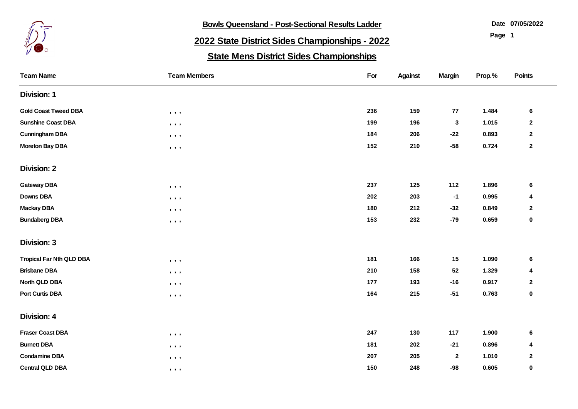

**Bowls Queensland - Post-Sectional Results Ladder** 

**07/05/2022**

**Page 1**

## **2022 State District Sides Championships - 2022**

## **State Mens District Sides Championships**

| <b>Team Name</b>                | <b>Team Members</b>                                          | For | <b>Against</b> | <b>Margin</b>    | Prop.% | Points         |
|---------------------------------|--------------------------------------------------------------|-----|----------------|------------------|--------|----------------|
| <b>Division: 1</b>              |                                                              |     |                |                  |        |                |
| <b>Gold Coast Tweed DBA</b>     | $\begin{array}{ccc} \bullet & \bullet & \bullet \end{array}$ | 236 | 159            | 77               | 1.484  | $6\phantom{1}$ |
| <b>Sunshine Coast DBA</b>       | $\qquad \qquad \bullet \qquad \bullet$                       | 199 | 196            | $\mathbf 3$      | 1.015  | $\mathbf{2}$   |
| <b>Cunningham DBA</b>           | $\begin{array}{ccc} \bullet & \bullet & \bullet \end{array}$ | 184 | 206            | $-22$            | 0.893  | $\mathbf{2}$   |
| <b>Moreton Bay DBA</b>          | $, \quad , \quad$                                            | 152 | 210            | $-58$            | 0.724  | $\mathbf 2$    |
| <b>Division: 2</b>              |                                                              |     |                |                  |        |                |
| <b>Gateway DBA</b>              | $\qquad \qquad \bullet \qquad \bullet$                       | 237 | 125            | 112              | 1.896  | 6              |
| <b>Downs DBA</b>                | $, \quad , \quad$                                            | 202 | 203            | $-1$             | 0.995  | 4              |
| <b>Mackay DBA</b>               | $, \quad , \quad$                                            | 180 | 212            | $-32$            | 0.849  | $\mathbf 2$    |
| <b>Bundaberg DBA</b>            | $, \quad , \quad$                                            | 153 | 232            | $-79$            | 0.659  | $\pmb{0}$      |
| <b>Division: 3</b>              |                                                              |     |                |                  |        |                |
| <b>Tropical Far Nth QLD DBA</b> | $, \quad , \quad$                                            | 181 | 166            | 15               | 1.090  | 6              |
| <b>Brisbane DBA</b>             | $, \quad , \quad$                                            | 210 | 158            | 52               | 1.329  | 4              |
| North QLD DBA                   | $\qquad \qquad \bullet \qquad \bullet$                       | 177 | 193            | $-16$            | 0.917  | $\mathbf{2}$   |
| <b>Port Curtis DBA</b>          | $, \quad , \quad$                                            | 164 | 215            | $-51$            | 0.763  | 0              |
| <b>Division: 4</b>              |                                                              |     |                |                  |        |                |
| <b>Fraser Coast DBA</b>         | $, \quad , \quad$                                            | 247 | 130            | 117              | 1.900  | 6              |
| <b>Burnett DBA</b>              | $\qquad \qquad \bullet \qquad \bullet$                       | 181 | 202            | $-21$            | 0.896  | 4              |
| <b>Condamine DBA</b>            | $, \quad , \quad$                                            | 207 | 205            | $\boldsymbol{2}$ | 1.010  | $\mathbf{2}$   |
| <b>Central QLD DBA</b>          | $\qquad \qquad \bullet \qquad \bullet$                       | 150 | 248            | $-98$            | 0.605  | $\pmb{0}$      |